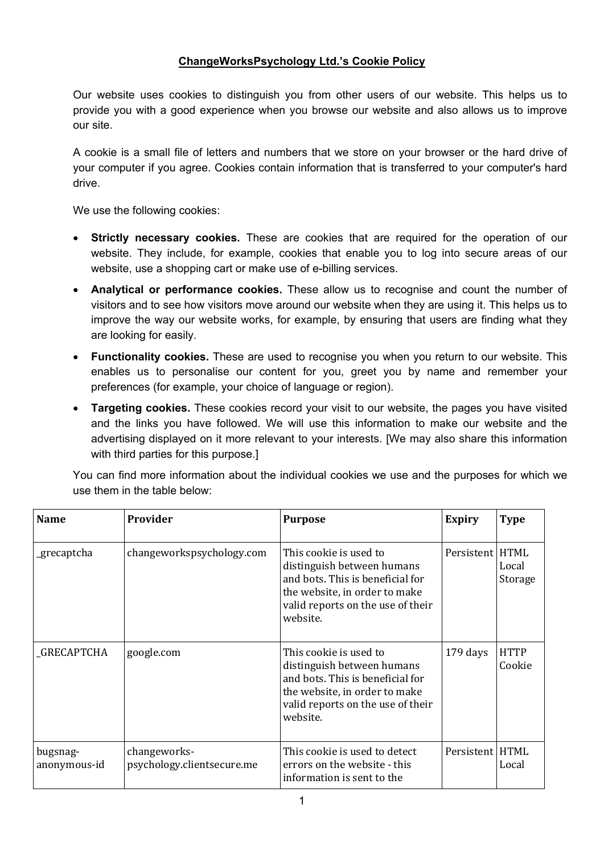## **ChangeWorksPsychology Ltd.'s Cookie Policy**

Our website uses cookies to distinguish you from other users of our website. This helps us to provide you with a good experience when you browse our website and also allows us to improve our site.

A cookie is a small file of letters and numbers that we store on your browser or the hard drive of your computer if you agree. Cookies contain information that is transferred to your computer's hard drive.

We use the following cookies:

- **Strictly necessary cookies.** These are cookies that are required for the operation of our website. They include, for example, cookies that enable you to log into secure areas of our website, use a shopping cart or make use of e-billing services.
- **Analytical or performance cookies.** These allow us to recognise and count the number of visitors and to see how visitors move around our website when they are using it. This helps us to improve the way our website works, for example, by ensuring that users are finding what they are looking for easily.
- **Functionality cookies.** These are used to recognise you when you return to our website. This enables us to personalise our content for you, greet you by name and remember your preferences (for example, your choice of language or region).
- **Targeting cookies.** These cookies record your visit to our website, the pages you have visited and the links you have followed. We will use this information to make our website and the advertising displayed on it more relevant to your interests. [We may also share this information with third parties for this purpose.]

You can find more information about the individual cookies we use and the purposes for which we use them in the table below:

| <b>Name</b>              | Provider                                   | <b>Purpose</b>                                                                                                                                                             | <b>Expiry</b>     | <b>Type</b>           |
|--------------------------|--------------------------------------------|----------------------------------------------------------------------------------------------------------------------------------------------------------------------------|-------------------|-----------------------|
| _grecaptcha              | changeworkspsychology.com                  | This cookie is used to<br>distinguish between humans<br>and bots. This is beneficial for<br>the website, in order to make<br>valid reports on the use of their<br>website. | Persistent   HTML | Local<br>Storage      |
| <b>GRECAPTCHA</b>        | google.com                                 | This cookie is used to<br>distinguish between humans<br>and bots. This is beneficial for<br>the website, in order to make<br>valid reports on the use of their<br>website. | 179 days          | <b>HTTP</b><br>Cookie |
| bugsnag-<br>anonymous-id | changeworks-<br>psychology.clientsecure.me | This cookie is used to detect<br>errors on the website - this<br>information is sent to the                                                                                | Persistent   HTML | Local                 |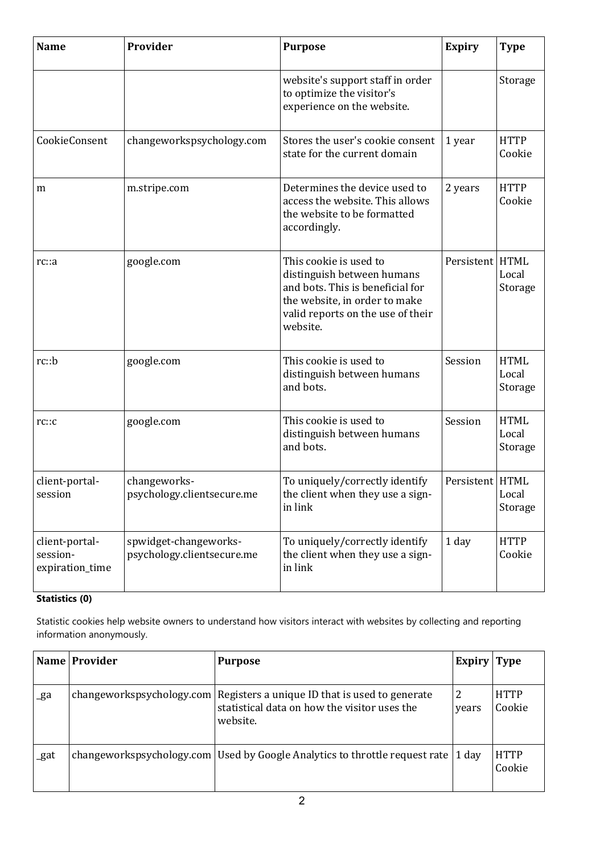| <b>Name</b>                                   | Provider                                            | <b>Purpose</b>                                                                                                                                                             | <b>Expiry</b>     | <b>Type</b>                     |
|-----------------------------------------------|-----------------------------------------------------|----------------------------------------------------------------------------------------------------------------------------------------------------------------------------|-------------------|---------------------------------|
|                                               |                                                     | website's support staff in order<br>to optimize the visitor's<br>experience on the website.                                                                                |                   | Storage                         |
| CookieConsent                                 | changeworkspsychology.com                           | Stores the user's cookie consent<br>state for the current domain                                                                                                           | 1 year            | <b>HTTP</b><br>Cookie           |
| m                                             | m.stripe.com                                        | Determines the device used to<br>access the website. This allows<br>the website to be formatted<br>accordingly.                                                            | 2 years           | <b>HTTP</b><br>Cookie           |
| rc: a                                         | google.com                                          | This cookie is used to<br>distinguish between humans<br>and bots. This is beneficial for<br>the website, in order to make<br>valid reports on the use of their<br>website. | Persistent        | <b>HTML</b><br>Local<br>Storage |
| rc::b                                         | google.com                                          | This cookie is used to<br>distinguish between humans<br>and bots.                                                                                                          | Session           | <b>HTML</b><br>Local<br>Storage |
| rc::c                                         | google.com                                          | This cookie is used to<br>distinguish between humans<br>and bots.                                                                                                          | Session           | <b>HTML</b><br>Local<br>Storage |
| client-portal-<br>session                     | changeworks-<br>psychology.clientsecure.me          | To uniquely/correctly identify<br>the client when they use a sign-<br>in link                                                                                              | Persistent   HTML | Local<br>Storage                |
| client-portal-<br>session-<br>expiration_time | spwidget-changeworks-<br>psychology.clientsecure.me | To uniquely/correctly identify<br>the client when they use a sign-<br>in link                                                                                              | 1 day             | <b>HTTP</b><br>Cookie           |

## **Statistics (0)**

Statistic cookies help website owners to understand how visitors interact with websites by collecting and reporting information anonymously.

|      | Name Provider | <b>Purpose</b>                                                                                                                         | Expiry Type |                       |
|------|---------------|----------------------------------------------------------------------------------------------------------------------------------------|-------------|-----------------------|
| _ga  |               | changeworkspsychology.com   Registers a unique ID that is used to generate<br>statistical data on how the visitor uses the<br>website. | 2<br>years  | <b>HTTP</b><br>Cookie |
| _gat |               | changeworkspsychology.com Used by Google Analytics to throttle request rate $\vert$ 1 day                                              |             | <b>HTTP</b><br>Cookie |